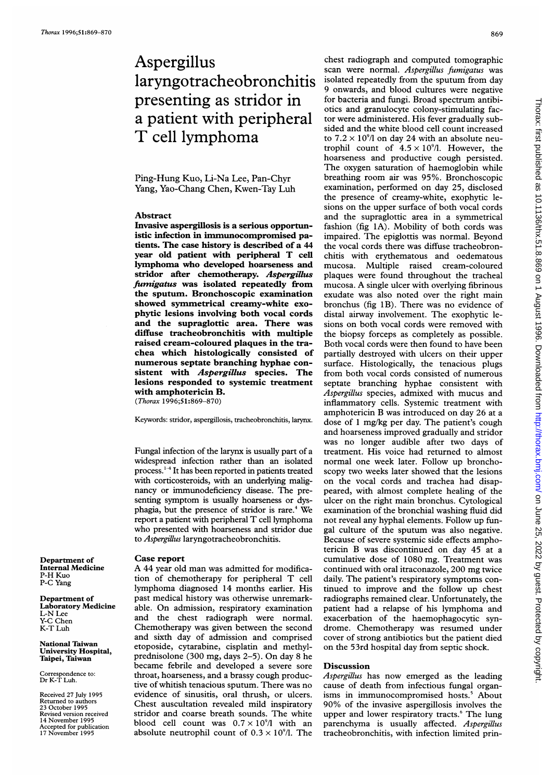# Aspergillus laryngotracheobronchitis presenting as stridor in a patient with peripheral T cell lymphoma

## Ping-Hung Kuo, Li-Na Lee, Pan-Chyr Yang, Yao-Chang Chen, Kwen-Tay Luh

#### Abstract

Invasive aspergillosis is a serious opportunistic infection in immunocompromised patients. The case history is described of a 44 year old patient with peripheral T cell lymphoma who developed hoarseness and stridor after chemotherapy. Aspergillus fumigatus was isolated repeatedly from the sputum. Bronchoscopic examination showed symmetrical creamy-white exophytic lesions involving both vocal cords and the supraglottic area. There was diffuse tracheobronchitis with multiple raised cream-coloured plaques in the trachea which histologically consisted of numerous septate branching hyphae consistent with *Aspergillus* species. The lesions responded to systemic treatment with amphotericin B. (Thorax 1996;51:869-870)

Keywords: stridor, aspergillosis, tracheobronchitis, larynx.

Fungal infection of the larynx is usually part of a widespread infection rather than an isolated process.<sup>1-4</sup> It has been reported in patients treated with corticosteroids, with an underlying malignancy or immunodeficiency disease. The presenting symptom is usually hoarseness or dysphagia, but the presence of stridor is rare.<sup>4</sup> We report <sup>a</sup> patient with peripheral T cell lymphoma who presented with hoarseness and stridor due to Aspergillus laryngotracheobronchitis.

### Case report

A 44 year old man was admitted for modification of chemotherapy for peripheral T cell lymphoma diagnosed 14 months earlier. His past medical history was otherwise unremarkable. On admission, respiratory examination and the chest radiograph were normal. Chemotherapy was given between the second and sixth day of admission and comprised etoposide, cytarabine, cisplatin and methylprednisolone (300 mg, days 2-5). On day <sup>8</sup> he became febrile and developed a severe sore throat, hoarseness, and a brassy cough productive of whitish tenacious sputum. There was no evidence of sinusitis, oral thrush, or ulcers. Chest auscultation revealed mild inspiratory stridor and coarse breath sounds. The white blood cell count was  $0.7 \times 10^{9}$ /l with an absolute neutrophil count of  $0.3 \times 10^9$ /l. The

chest radiograph and computed tomographic scan were normal. Aspergillus fumigatus was isolated repeatedly from the sputum from day 9 onwards, and blood cultures were negative for bacteria and fungi. Broad spectrum antibiotics and granulocyte colony-stimulating factor were administered. His fever gradually subsided and the white blood cell count increased to  $7.2 \times 10^{9}$  on day 24 with an absolute neutrophil count of  $4.5 \times 10^{9}$ . However, the hoarseness and productive cough persisted. The oxygen saturation of haemoglobin while breathing room air was 95%. Bronchoscopic examination, performed on day 25, disclosed the presence of creamy-white, exophytic lesions on the upper surface of both vocal cords and the supraglottic area in a symmetrical fashion (fig 1A). Mobility of both cords was impaired. The epiglottis was normal. Beyond the vocal cords there was diffuse tracheobronchitis with erythematous and oedematous mucosa. Multiple raised cream-coloured plaques were found throughout the tracheal mucosa. A single ulcer with overlying fibrinous exudate was also noted over the right main bronchus (fig 1B). There was no evidence of distal airway involvement. The exophytic lesions on both vocal cords were removed with the biopsy forceps as completely as possible. Both vocal cords were then found to have been partially destroyed with ulcers on their upper surface. Histologically, the tenacious plugs from both vocal cords consisted of numerous septate branching hyphae consistent with Aspergillus species, admixed with mucus and inflammatory cells. Systemic treatment with amphotericin B was introduced on day 26 at <sup>a</sup> dose of <sup>1</sup> mg/kg per day. The patient's cough and hoarseness improved gradually and stridor was no longer audible after two days of treatment. His voice had returned to almost normal one week later. Follow up bronchoscopy two weeks later showed that the lesions on the vocal cords and trachea had disappeared, with almost complete healing of the ulcer on the right main bronchus. Cytological examination of the bronchial washing fluid did not reveal any hyphal elements. Follow up fungal culture of the sputum was also negative. Because of severe systemic side effects amphotericin B was discontinued on day 45 at <sup>a</sup> cumulative dose of 1080 mg. Treatment was continued with oral itraconazole, 200 mg twice daily. The patient's respiratory symptoms continued to improve and the follow up chest radiographs remained clear. Unfortunately, the patient had a relapse of his lymphoma and exacerbation of the haemophagocytic syndrome. Chemotherapy was resumed under cover of strong antibiotics but the patient died on the 53rd hospital day from septic shock.

#### Discussion

Aspergillus has now emerged as the leading cause of death from infectious fungal organisms in immunocompromised hosts.<sup>5</sup> About 90% of the invasive aspergillosis involves the upper and lower respiratory tracts.<sup>6</sup> The lung parenchyma is usually affected. Aspergillus tracheobronchitis, with infection limited prin-

Department of Internal Medicine P-H Kuo P-C Yang

Department of Laboratory Medicine L-N Lee Y-C Chen K-T Luh

National Taiwan University Hospital, Taipei, Taiwan

Correspondence to: Dr K-T Luh.

Received 27 July 1995 Returned to authors 23 October 1995 Revised version received 14 November 1995 Accepted for publication 17 November 1995